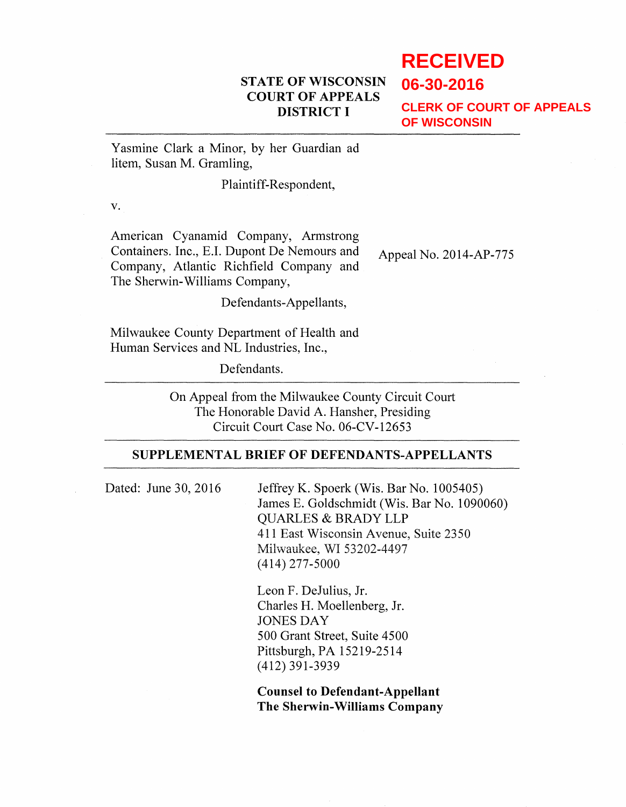## **STATE OF WISCONSIN COURT OF APPEALS DISTRICT I**

# **RECEIVED**

**06-30-2016**

**CLERK OF COURT OF APPEALS OF WISCONSIN**

Yasmine Clark a Minor, by her Guardian ad litem, Susan M. Gramling,

### Plaintiff-Respondent,

v.

American Cyanamid Company, Armstrong Containers. Inc., E.I. Dupont De Nemours and Appeal No. 2014-AP-775 Company, Atlantic Richfield Company and The Sherwin-Williams Company,

Defendants-Appellants,

Milwaukee County Department of Health and Human Services and NL Industries, Inc.,

Defendants.

On Appeal from the Milwaukee County Circuit Court The Honorable David A. Hansher, Presiding Circuit Court Case No. 06-CV-12653

### **SUPPLEMENTAL BRIEF OF DEFENDANTS-APPELLANTS**

Dated: June 30, 2016 Jeffrey K. Spoerk (Wis. Bar No. 1005405) James E. Goldschmidt (Wis. Bar No. 1090060) QUARLES & BRADY LLP 411 East Wisconsin Avenue, Suite 2350 Milwaukee, WI 53202-4497 (414) 277-5000

> Leon F. DeJulius, Jr. Charles H. Moellenberg, Jr. JONES DAY 500 Grant Street, Suite 4500 Pittsburgh, PA 15219-2514 (412) 391-3939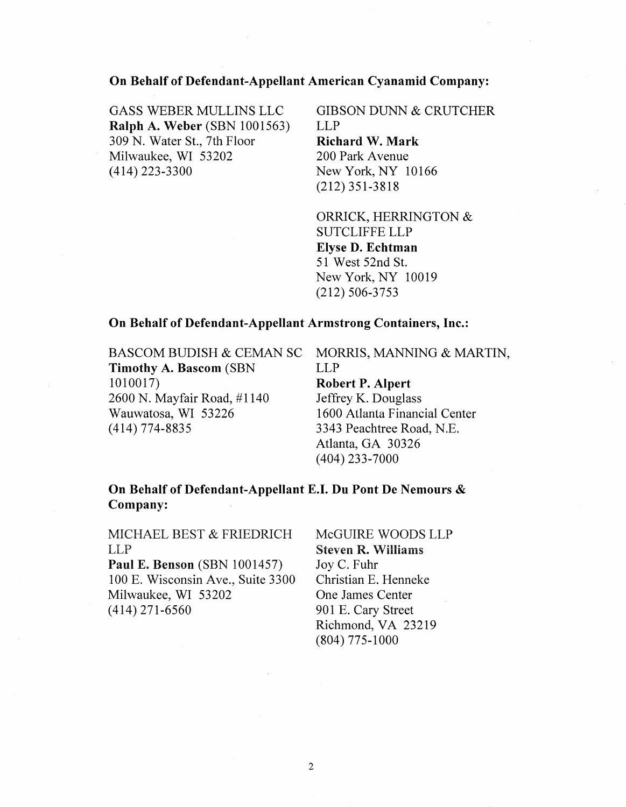### On Behalf of Defendant-Appellant American Cyanamid Company:

GASS WEBER MULLINS LLC Ralph A. Weber (SBN 1001563) 309 N. Water St., 7th Floor Milwaukee, WI 53202 (414) 223-3300

GIBSON DUNN & CRUTCHER LLP Richard W. Mark 200 Park Avenue New York, NY 10166

ORRICK, HERRINGTON & SUTCLIFFE LLP Elyse D. Echtman 51 West 52nd St. New York, NY 10019 (212) 506-3753

(212) 351-3818

#### On Behalf of Defendant-Appellant Armstrong Containers, Inc.:

BASCOM BUDISH & CEMAN SC MORRIS, MANNING & MARTIN, Timothy A. Bascom (SBN LLP 1010017) Robert P. Alpert 2600 N. Mayfair Road, #1140 Jeffrey K. Douglass Wauwatosa, WI 53226 1600 Atlanta Financial Center (414) 774-8835 3343 Peachtree Road, N.E.

Atlanta, GA 30326 (404) 233-7000

On Behalf of Defendant-Appellant E.I. Du Pont De Nemours & Company:

MICHAEL BEST & FRIEDRICH LLP

Paul E. Benson (SBN 1001457) 100 E. Wisconsin Ave., Suite 3300 Milwaukee, WI 53202 (414) 271-6560

McGUIRE WOODS LLP Steven R. \Villiams Joy C. Fuhr Christian E. Henneke One James Center 901 E. Cary Street Richmond, VA 23219 (804) 775-1000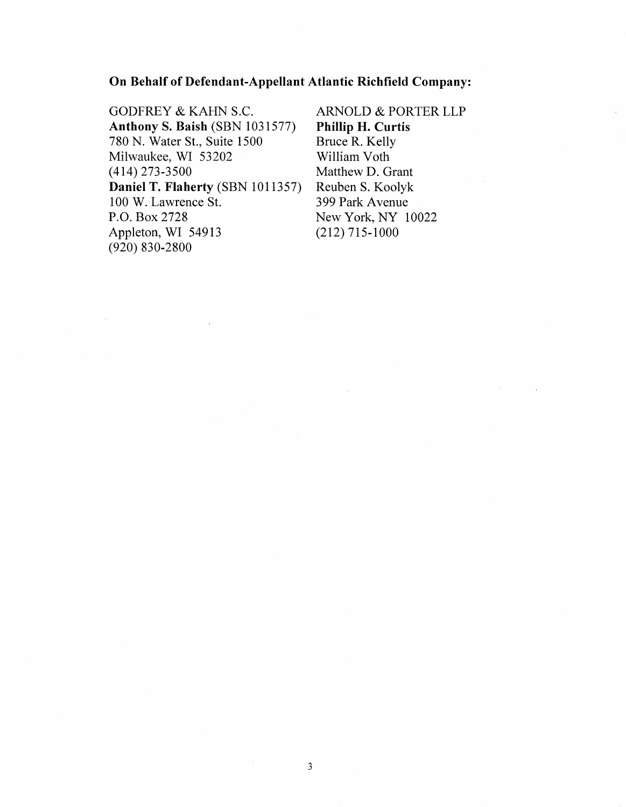### On Behalf of Defendant-Appellant Atlantic Richfield Company:

GODFREY & KAHN S.C. **Anthony S. Baish (SBN 1031577)** 780 N. Water St., Suite 1500 Milwaukee, WI 53202 (414) 273-3500 Daniel T. Flaherty (SBN 1011357) 100 W. Lawrence St. P.O. Box 2728 Appleton, WI 54913 (920) 830-2800

ARNOLD & PORTER LLP Phillip H. Curtis Bruce R. Kelly William Voth Matthew D. Grant Reuben S. Koolyk 3 99 Park A venue New York, NY 10022 (212) 715-1000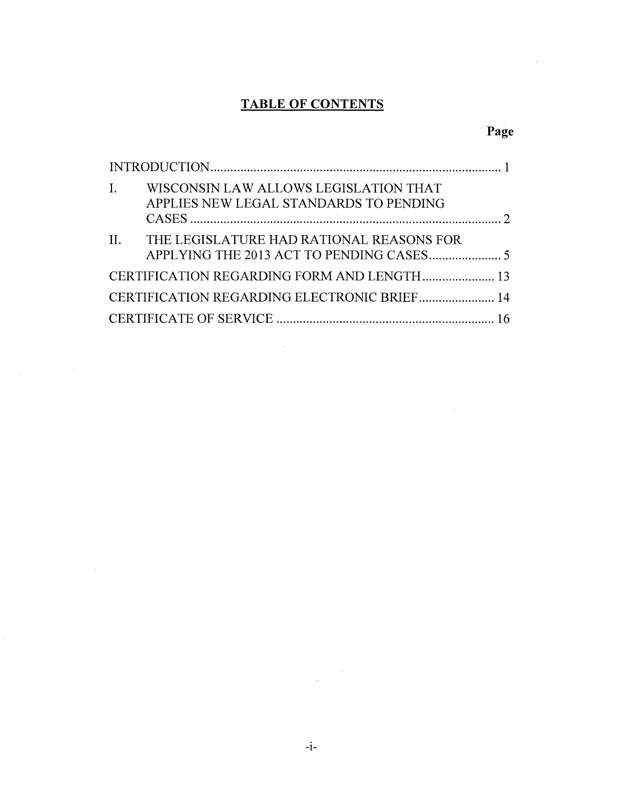# **TABLE OF CONTENTS**

# **Page**

| $\mathbf{L}$ | WISCONSIN LAW ALLOWS LEGISLATION THAT<br>APPLIES NEW LEGAL STANDARDS TO PENDING |  |
|--------------|---------------------------------------------------------------------------------|--|
|              | II. THE LEGISLATURE HAD RATIONAL REASONS FOR                                    |  |
|              | CERTIFICATION REGARDING FORM AND LENGTH 13                                      |  |
|              |                                                                                 |  |
|              |                                                                                 |  |

 $\sim 10^7$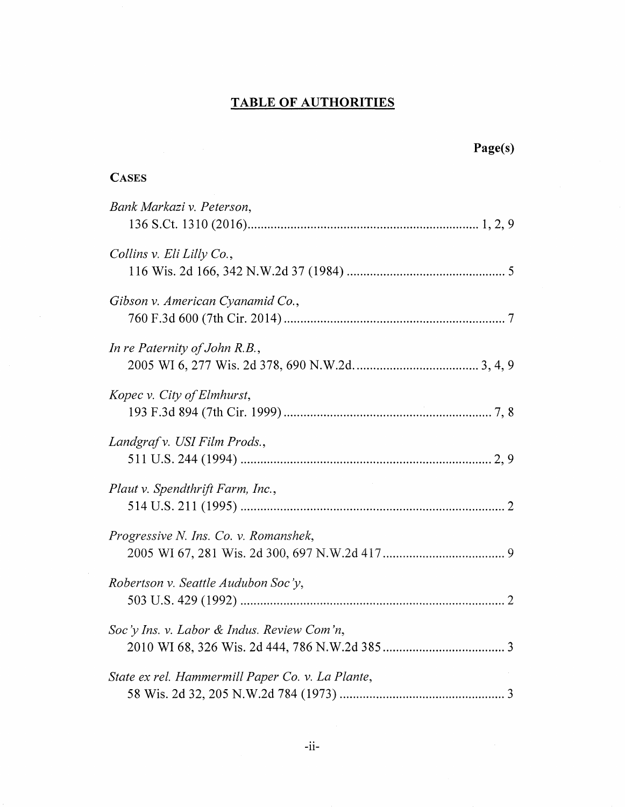## **TABLE OF AUTHORITIES**

| Page(s)                                          |
|--------------------------------------------------|
| <b>CASES</b>                                     |
| Bank Markazi v. Peterson,                        |
| Collins v. Eli Lilly Co.,                        |
| Gibson v. American Cyanamid Co.,                 |
| In re Paternity of John $R.B.$ ,                 |
| Kopec v. City of Elmhurst,                       |
| Landgraf v. USI Film Prods.,                     |
| Plaut v. Spendthrift Farm, Inc.,                 |
| Progressive N. Ins. Co. v. Romanshek,            |
| Robertson v. Seattle Audubon Soc'y,              |
| Soc'y Ins. v. Labor & Indus. Review Com'n,       |
| State ex rel. Hammermill Paper Co. v. La Plante, |

 $\mathcal{A}^{\mathcal{A}}$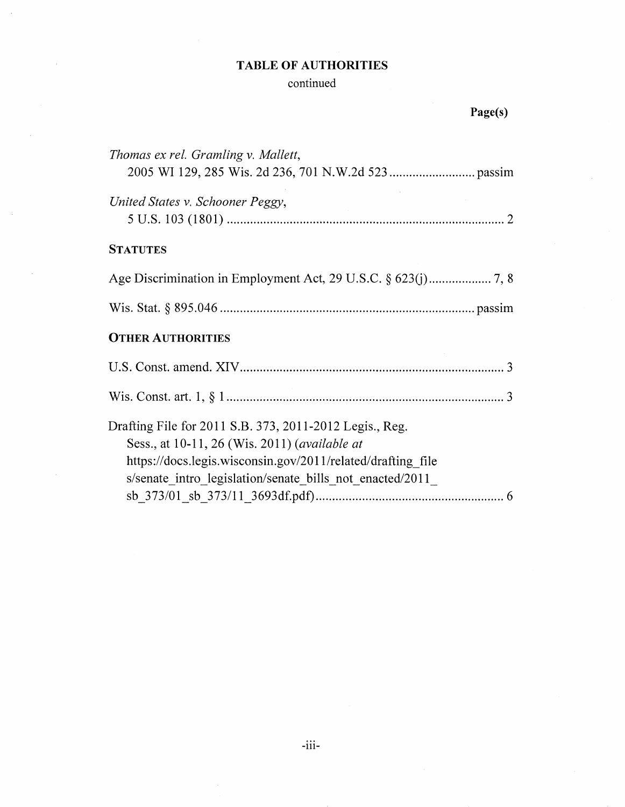# TABLE OF AUTHORITIES

 $\overline{\phantom{a}}$ 

# continued

# Page(s)

| Thomas ex rel. Gramling v. Mallett,                                                                                                                                                                                                          |
|----------------------------------------------------------------------------------------------------------------------------------------------------------------------------------------------------------------------------------------------|
| United States v. Schooner Peggy,                                                                                                                                                                                                             |
| <b>STATUTES</b>                                                                                                                                                                                                                              |
|                                                                                                                                                                                                                                              |
|                                                                                                                                                                                                                                              |
| <b>OTHER AUTHORITIES</b>                                                                                                                                                                                                                     |
|                                                                                                                                                                                                                                              |
|                                                                                                                                                                                                                                              |
| Drafting File for 2011 S.B. 373, 2011-2012 Legis., Reg.<br>Sess., at 10-11, 26 (Wis. 2011) ( <i>available at</i><br>https://docs.legis.wisconsin.gov/2011/related/drafting file<br>s/senate intro legislation/senate_bills_not_enacted/2011_ |
|                                                                                                                                                                                                                                              |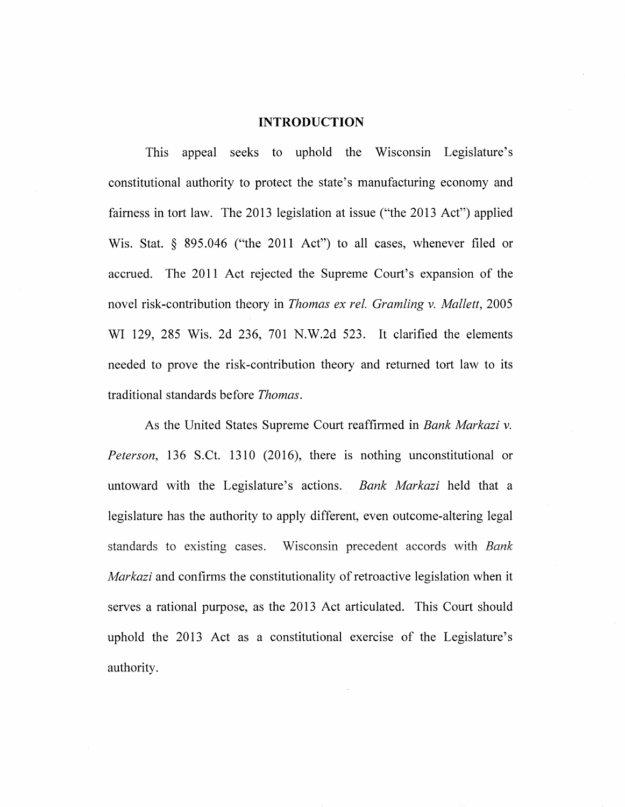#### **INTRODUCTION**

This appeal seeks to uphold the Wisconsin Legislature's constitutional authority to protect the state's manufacturing economy and fairness in tort law. The 2013 legislation at issue ("the 2013 Act") applied Wis. Stat. § 895.046 ("the 2011 Act") to all cases, whenever filed or accrued. The 2011 Act rejected the Supreme Court's expansion of the novel risk-contribution theory in *Thomas ex rel. Gramling* v. *Mallett,* 2005 WI 129, 285 Wis. 2d 236, 701 N.W.2d 523. It clarified the elements needed to prove the risk-contribution theory and returned tort law to its traditional standards before *Thomas.* 

As the United States Supreme Court reaffirmed in *Bank Markazi* v. *Peterson,* 136 S.Ct. 1310 (2016), there is nothing unconstitutional or untoward with the Legislature's actions. *Bank Markazi* held that a legislature has the authority to apply different, even outcome-altering legal standards to existing cases. Wisconsin precedent accords with *Bank Markazi* and confirms the constitutionality of retroactive legislation when it serves a rational purpose, as the 2013 Act articulated. This Court should uphold the 2013 Act as a constitutional exercise of the Legislature's authority.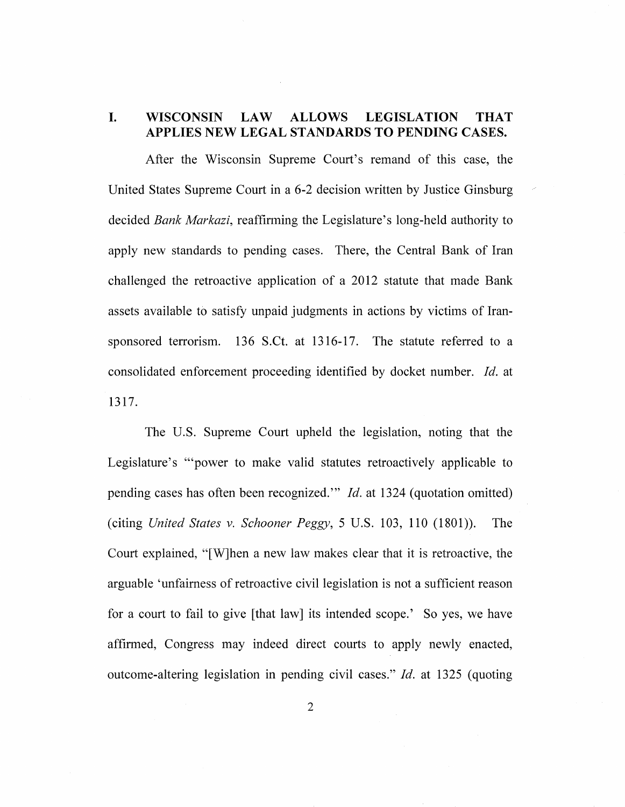### I. WISCONSIN LAW ALLOWS LEGISLATION THAT APPLIES NEW LEGAL STANDARDS TO PENDING CASES.

After the Wisconsin Supreme Court's remand of this case, the United States Supreme Court in a 6-2 decision written by Justice Ginsburg decided *Bank Markazi,* reaffirming the Legislature's long-held authority to apply new standards to pending cases. There, the Central Bank of Iran challenged the retroactive application of a 2012 statute that made Bank assets available to satisfy unpaid judgments in actions by victims of Iransponsored terrorism. 136 S.Ct. at  $1316-17$ . The statute referred to a consolidated enforcement proceeding identified by docket number. *!d.* at 1317.

The U.S. Supreme Court upheld the legislation, noting that the Legislature's "'power to make valid statutes retroactively applicable to pending cases has often been recognized.'" *!d.* at 1324 (quotation omitted) (citing *United States v. Schooner Peggy,* 5 U.S. 103, 110 (1801)). The Court explained, "[W]hen a new law makes clear that it is retroactive, the arguable 'unfairness of retroactive civil legislation is not a sufficient reason for a court to fail to give [that law] its intended scope.' So yes, we have affirmed, Congress may indeed direct courts to apply newly enacted, outcome-altering legislation in pending civil cases." *!d.* at 1325 (quoting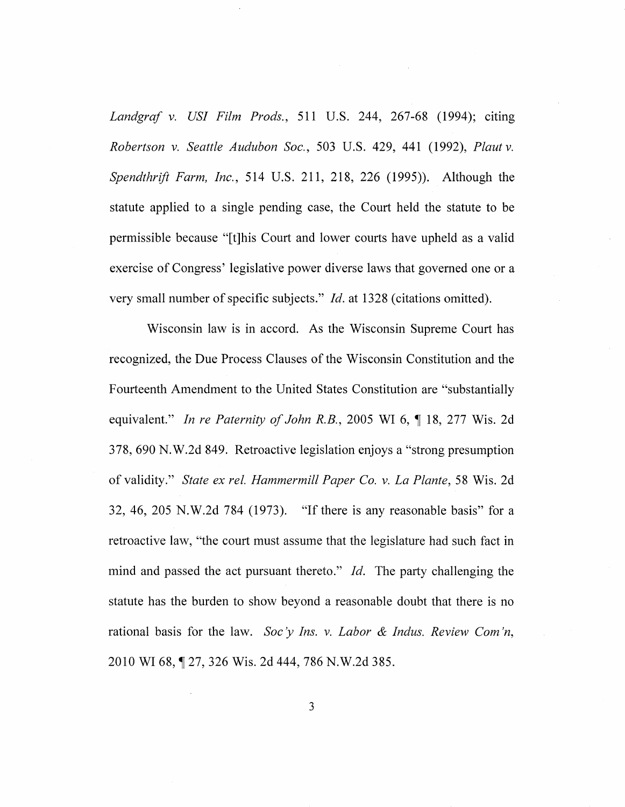*Landgraf v. US! Film Prods.,* 511 U.S. 244, 267-68 (1994); citing *Robertson v. Seattle Audubon Soc.,* 503 U.S. 429, 441 (1992), *Plaut v. Spendthrift Farm, Inc.,* 514 U.S. 211, 218, 226 (1995)). Although the statute applied to a single pending case, the Court held the statute to be permissible because "[t]his Court and lower courts have upheld as a valid exercise of Congress' legislative power diverse laws that governed one or a very small number of specific subjects." *!d.* at 1328 (citations omitted).

Wisconsin law is in accord. As the Wisconsin Supreme Court has recognized, the Due Process Clauses of the Wisconsin Constitution and the Fourteenth Amendment to the United States Constitution are "substantially equivalent." *In re Paternity of John R.B.*, 2005 WI 6, 18, 277 Wis. 2d 378, 690 N.W.2d 849. Retroactive legislation enjoys a "strong presumption of validity." *State ex ref. Hammermill Paper Co. v. La Plante,* 58 Wis. 2d 32, 46, 205 N.W.2d 784 (1973). "If there is any reasonable basis" for a retroactive law, ''the court must assume that the legislature had such fact in mind and passed the act pursuant thereto." *!d.* The party challenging the statute has the burden to show beyond a reasonable doubt that there is no rational basis for the law. *Soc* y *Ins. v. Labor* & *Indus. Review Com 'n,*  2010 WI 68, 127, 326 Wis. 2d 444, 786 N.W.2d 385.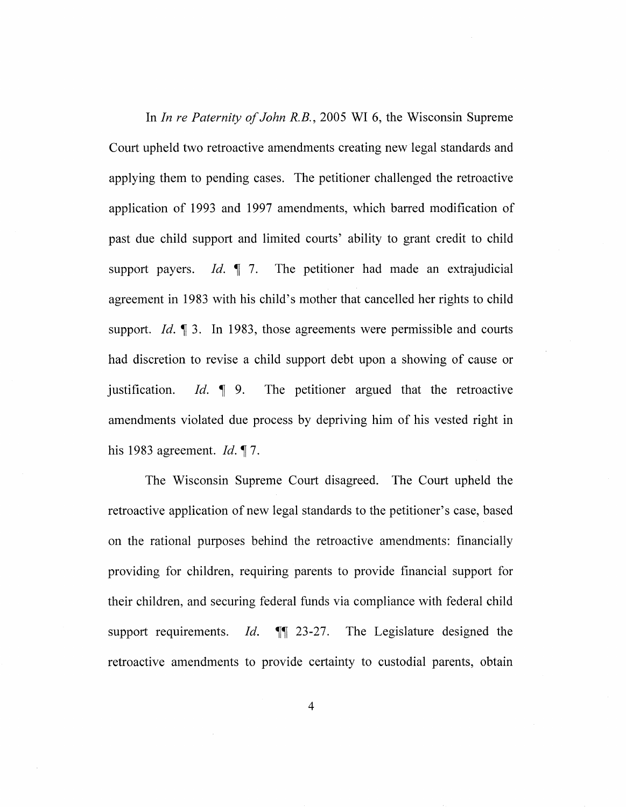In *In re Paternity of John R.B.,* 2005 WI 6, the Wisconsin Supreme Court upheld two retroactive amendments creating new legal standards and applying them to pending cases. The petitioner challenged the retroactive application of 1993 and 1997 amendments, which barred modification of past due child support and limited courts' ability to grant credit to child support payers. *Id.* 17. The petitioner had made an extrajudicial agreement in 1983 with his child's mother that cancelled her rights to child support. *Id.* 13. In 1983, those agreements were permissible and courts had discretion to revise a child support debt upon a showing of cause or justification. *Id.* 19. The petitioner argued that the retroactive amendments violated due process by depriving him of his vested right in his 1983 agreement.  $Id.~ \P$ 7.

The Wisconsin Supreme Court disagreed. The Court upheld the retroactive application of new legal standards to the petitioner's case, based on the rational purposes behind the retroactive amendments: financially providing for children, requiring parents to provide financial support for their children, and securing federal funds via compliance with federal child support requirements. *Id.*  $\mathbb{I}$  23-27. The Legislature designed the retroactive amendments to provide certainty to custodial parents, obtain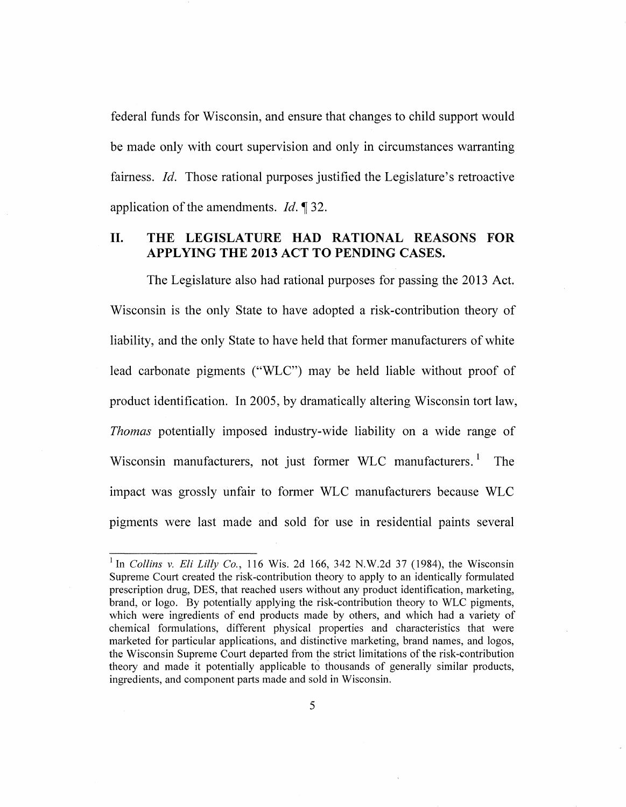federal funds for Wisconsin, and ensure that changes to child support would be made only with court supervision and only in circumstances warranting fairness. *Id.* Those rational purposes justified the Legislature's retroactive application of the amendments. *Id.* 1 32.

### II. **THE LEGISLATURE HAD RATIONAL REASONS FOR APPLYING THE 2013 ACT TO PENDING CASES.**

The Legislature also had rational purposes for passing the 2013 Act. Wisconsin is the only State to have adopted a risk-contribution theory of liability, and the only State to have held that former manufacturers of white lead carbonate pigments ("WLC") may be held liable without proof of product identification. In 2005, by dramatically altering Wisconsin tort law, *Thomas* potentially imposed industry-wide liability on a wide range of Wisconsin manufacturers, not just former WLC manufacturers.<sup>1</sup> The impact was grossly unfair to former WLC manufacturers because WLC pigments were last made and sold for use in residential paints several

<sup>&</sup>lt;sup>1</sup> In *Collins v. Eli Lilly Co.*, 116 Wis. 2d 166, 342 N.W.2d 37 (1984), the Wisconsin Supreme Court created the risk-contribution theory to apply to an identically formulated prescription drug, DES, that reached users without any product identification, marketing, brand, or logo. By potentially applying the risk-contribution theory to WLC pigments, which were ingredients of end products made by others, and which had a variety of chemical formulations, different physical properties and characteristics that were marketed for particular applications, and distinctive marketing, brand names, and logos, the Wisconsin Supreme Court departed from the strict limitations of the risk-contribution theory and made it potentially applicable to thousands of generally similar products, ingredients, and component parts made and sold in Wisconsin.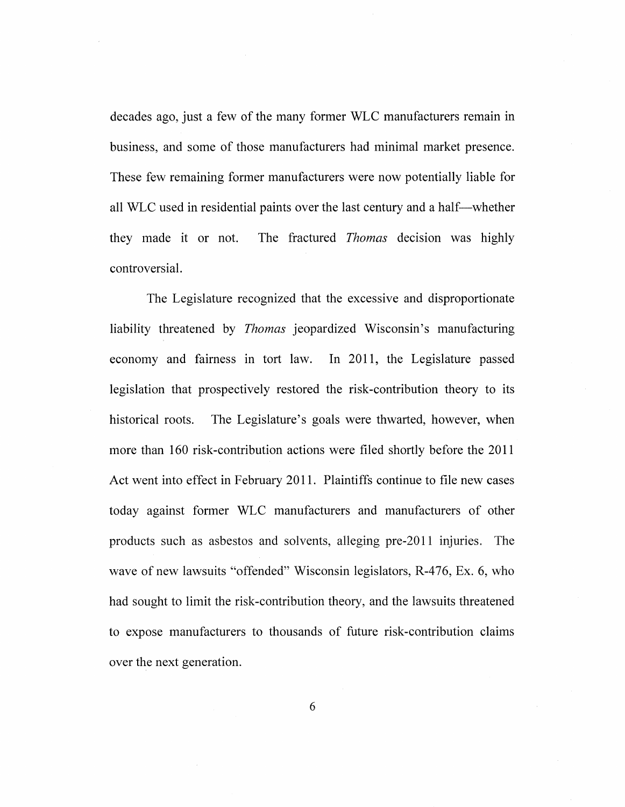decades ago, just a few of the many former WLC manufacturers remain in business, and some of those manufacturers had minimal market presence. These few remaining former manufacturers were now potentially liable for all WLC used in residential paints over the last century and a half-whether they made it or not. The fractured *Thomas* decision was highly controversial.

The Legislature recognized that the excessive and disproportionate liability threatened by *Thomas* jeopardized Wisconsin's manufacturing economy and fairness in tort law. In 2011, the Legislature passed legislation that prospectively restored the risk -contribution theory to its historical roots. The Legislature's goals were thwarted, however, when more than 160 risk-contribution actions were filed shortly before the 2011 Act went into effect in February 2011. Plaintiffs continue to file new cases today against former WLC manufacturers and manufacturers of other products such as asbestos and solvents, alleging pre-20 11 injuries. The wave of new lawsuits "offended" Wisconsin legislators, R-476, Ex. 6, who had sought to limit the risk-contribution theory, and the lawsuits threatened to expose manufacturers to thousands of future risk -contribution claims over the next generation.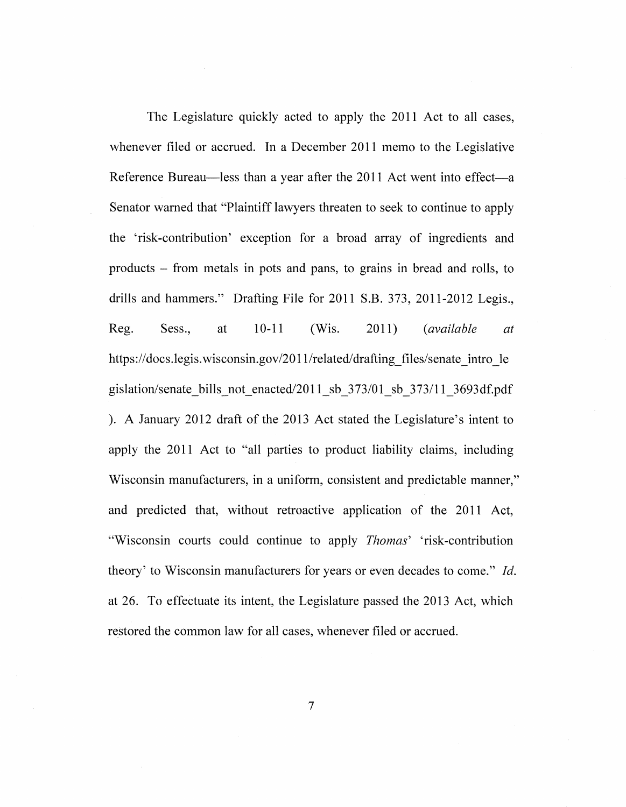The Legislature quickly acted to apply the 2011 Act to all cases, whenever filed or accrued. In a December 2011 memo to the Legislative Reference Bureau-less than a year after the 2011 Act went into effect-a Senator warned that "Plaintiff lawyers threaten to seek to continue to apply the 'risk-contribution' exception for a broad array of ingredients and products - from metals in pots and pans, to grains in bread and rolls, to drills and hammers." Drafting File for 2011 S.B. 373, 2011-2012 Legis., Reg. Sess., at 10-11 (Wis. 2011) *(available at*  https://docs.legis.wisconsin.gov/2011/related/drafting files/senate intro le gislation/senate bills not enacted/2011 sb  $373/01$  sb  $373/11$   $3693df.pdf$ ). A January 2012 draft of the 2013 Act stated the Legislature's intent to apply the 2011 Act to "all parties to product liability claims, including Wisconsin manufacturers, in a uniform, consistent and predictable manner," and predicted that, without retroactive application of the 2011 Act, "Wisconsin courts could continue to apply *Thomas'* 'risk-contribution theory' to Wisconsin manufacturers for years or even decades to come." *!d.*  at 26. To effectuate its intent, the Legislature passed the 2013 Act, which restored the common law for all cases, whenever filed or accrued.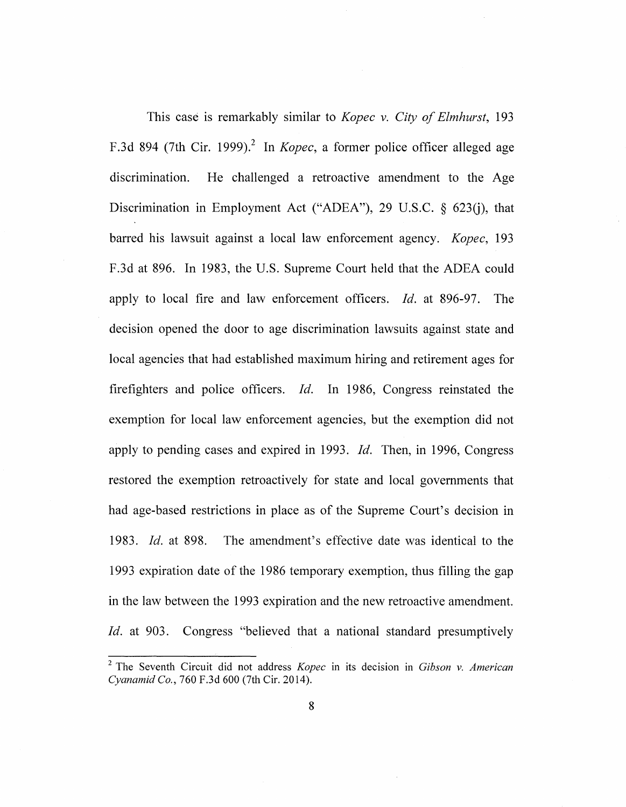This case is remarkably similar to *Kopec v. City of Elmhurst,* 193 F.3d 894 (7th Cir. 1999).<sup>2</sup> In *Kopec*, a former police officer alleged age discrimination. He challenged a retroactive amendment to the Age Discrimination in Employment Act ("ADEA"), 29 U.S.C.  $\delta$  623(i), that barred his lawsuit against a local law enforcement agency. *Kopec,* 193 F .3d at 896. In 1983, the U.S. Supreme Court held that the ADEA could apply to local fire and law enforcement officers. *!d.* at 896-97. The decision opened the door to age discrimination lawsuits against state and local agencies that had established maximum hiring and retirement ages for firefighters and police officers. *!d.* In 1986, Congress reinstated the exemption for local law enforcement agencies, but the exemption did not apply to pending cases and expired in 1993. *!d.* Then, in 1996, Congress restored the exemption retroactively for state and local governments that had age-based restrictions in place as of the Supreme Court's decision in 1983. *!d.* at 898. The amendment's effective date was identical to the 1993 expiration date of the 1986 temporary exemption, thus filling the gap in the law between the 1993 expiration and the new retroactive amendment. *!d.* at 903. Congress "believed that a national standard presumptively

<sup>2</sup>The Seventh Circuit did not address *Kopec* in its decision in *Gibson v. American Cyanamid Co.,* 760 F.3d 600 (7th Cir. 2014).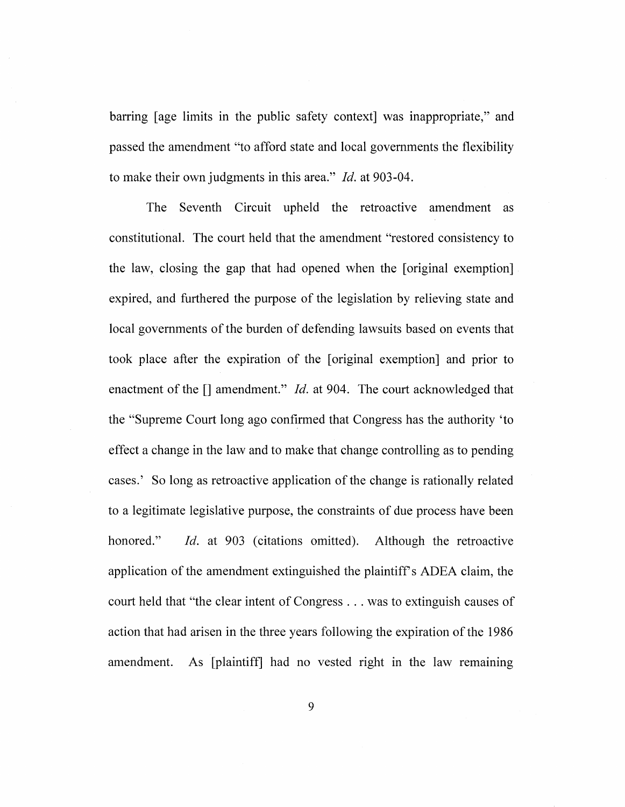barring [age limits in the public safety context] was inappropriate," and passed the amendment "to afford state and local governments the flexibility to make their own judgments in this area." *!d.* at 903-04.

The Seventh Circuit upheld the retroactive amendment as constitutional. The court held that the amendment "restored consistency to the law, closing the gap that had opened when the [original exemption] expired, and furthered the purpose of the legislation by relieving state and local governments of the burden of defending lawsuits based on events that took place after the expiration of the [original exemption] and prior to enactment of the  $\iint$  amendment." *Id.* at 904. The court acknowledged that the "Supreme Court long ago confirmed that Congress has the authority 'to effect a change in the law and to make that change controlling as to pending cases.' So long as retroactive application of the change is rationally related to a legitimate legislative purpose, the constraints of due process have been honored." *Id.* at 903 (citations omitted). Although the retroactive application of the amendment extinguished the plaintiff's ADEA claim, the court held that "the clear intent of Congress ... was to extinguish causes of action that had arisen in the three years following the expiration of the 1986 amendment. As [plaintiff] had no vested right in the law remaining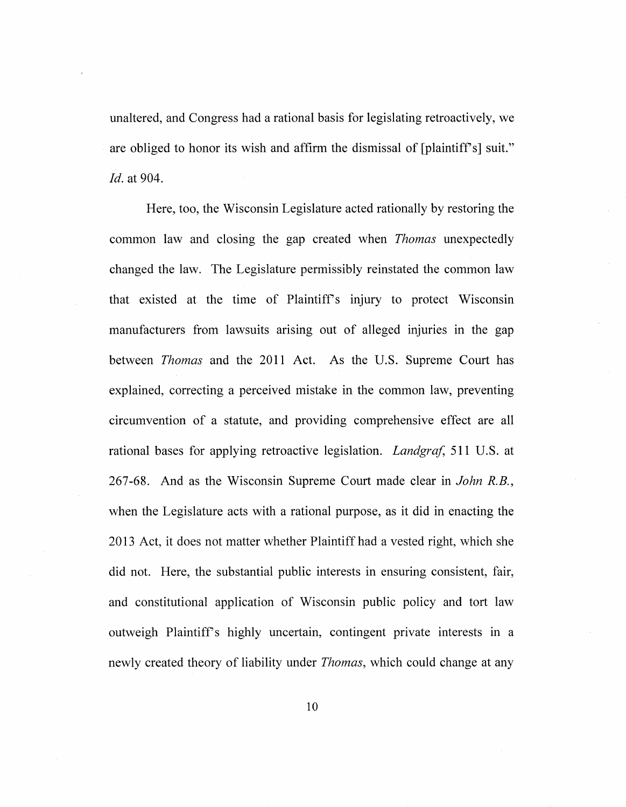unaltered, and Congress had a rational basis for legislating retroactively, we are obliged to honor its wish and affirm the dismissal of [plaintiff's] suit." *!d.* at 904.

Here, too, the Wisconsin Legislature acted rationally by restoring the common law and closing the gap created when *Thomas* unexpectedly changed the law. The Legislature permissibly reinstated the common law that existed at the time of Plaintiff's injury to protect Wisconsin manufacturers from lawsuits arising out of alleged injuries in the gap between *Thomas* and the 2011 Act. As the U.S. Supreme Court has explained, correcting a perceived mistake in the common law, preventing circumvention of a statute, and providing comprehensive effect are all rational bases for applying retroactive legislation. *Landgraf,* 511 U.S. at 267-68. And as the Wisconsin Supreme Court made clear in *John R.B.,*  when the Legislature acts with a rational purpose, as it did in enacting the 20 13 Act, it does not matter whether Plaintiff had a vested right, which she did not. Here, the substantial public interests in ensuring consistent, fair, and constitutional application of Wisconsin public policy and tort law outweigh Plaintiffs highly uncertain, contingent private interests in a newly created theory of liability under *Thomas,* which could change at any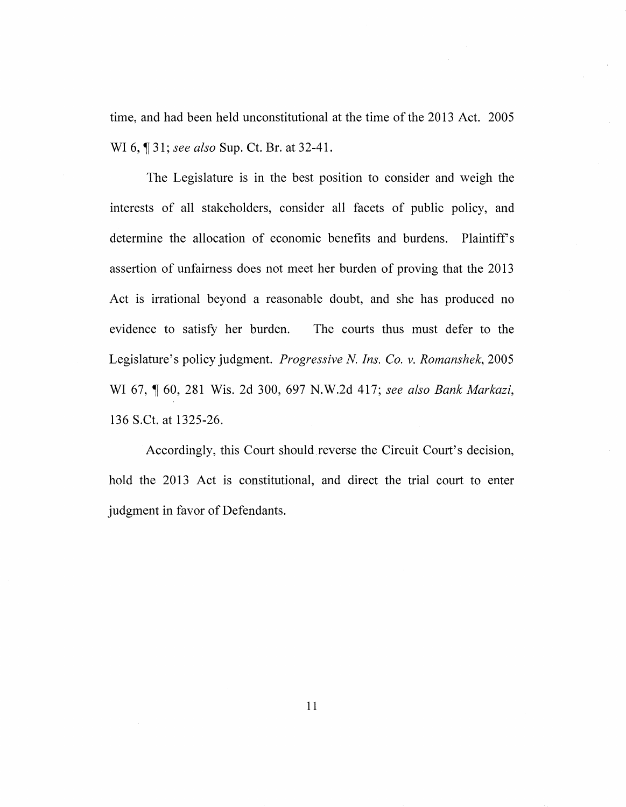time, and had been held unconstitutional at the time of the 2013 Act. 2005 WI 6, ¶ 31; *see also* Sup. Ct. Br. at 32-41.

The Legislature is in the best position to consider and weigh the interests of all stakeholders, consider all facets of public policy, and determine the allocation of economic benefits and burdens. Plaintiff's assertion of unfairness does not meet her burden of proving that the 2013 Act is irrational beyond a reasonable doubt, and she has produced no evidence to satisfy her burden. The courts thus must defer to the Legislature's policy judgment. *Progressive N. Ins. Co. v. Romanshek,* 2005 WI 67, 1 60, 281 Wis. 2d 300, 697 N.W.2d 417; *see also Bank Markazi*, 136 S.Ct. at 1325-26.

Accordingly, this Court should reverse the Circuit Court's decision, hold the 2013 Act is constitutional, and direct the trial court to enter judgment in favor of Defendants.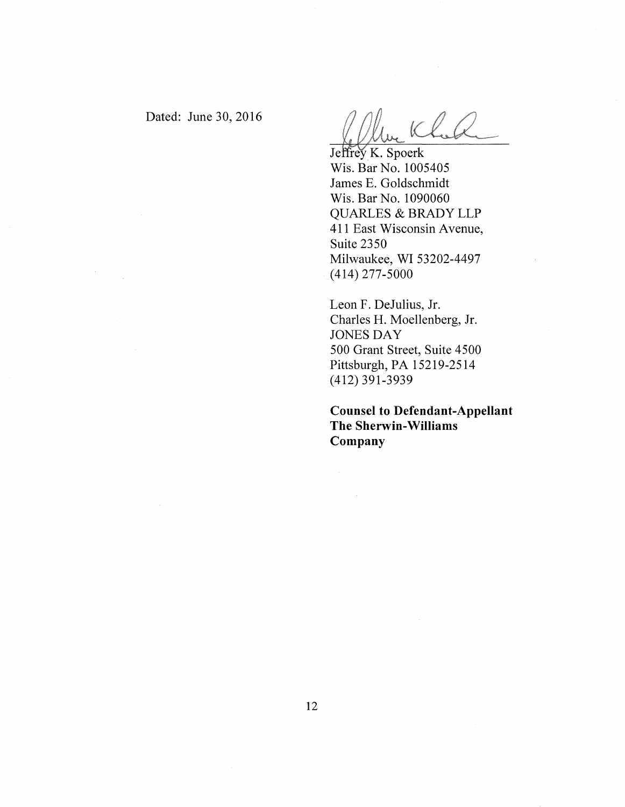Dated: June 30, 2016

Jeffrey K. Spoerk Wis. Bar No. 1005405 James E. Goldschmidt Wis. Bar No. 1090060 QUARLES & BRADY LLP 411 East Wisconsin Avenue, Suite 2350 Milwaukee, WI 53202-4497 (414) 277-5000

Leon F. DeJulius, Jr. Charles H. Moellenberg, Jr. JONES DAY 500 Grant Street, Suite 4500 Pittsburgh, PA 15219-2514 (412) 391-3939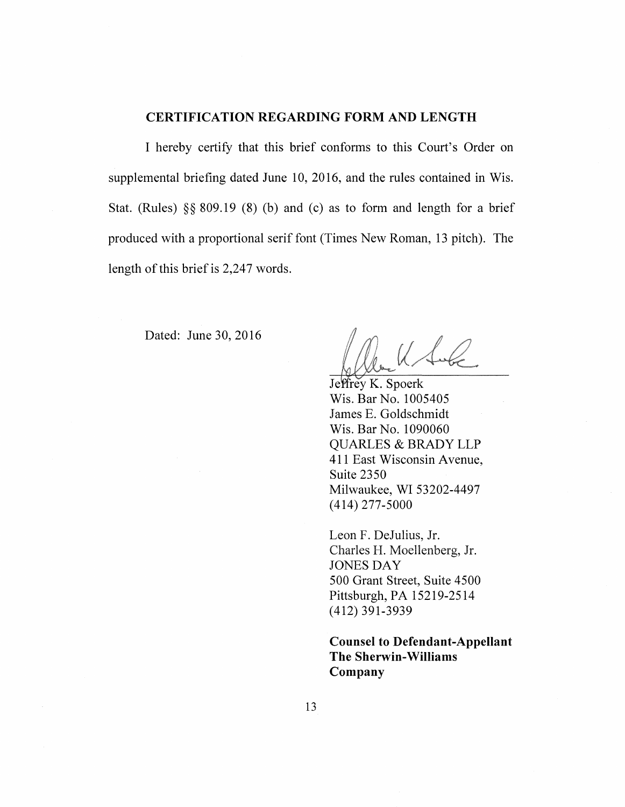#### **CERTIFICATION REGARDING FORM AND LENGTH**

I hereby certify that this brief conforms to this Court's Order on supplemental briefing dated June 10, 2016, and the rules contained in Wis. Stat. (Rules)  $\S$  809.19 (8) (b) and (c) as to form and length for a brief produced with a proportional serif font (Times New Roman, 13 pitch). The length of this brief is 2,247 words.

Dated: June 30, 2016

 $U \triangle C$ 

Jeffrey K. Spoerk Wis. Bar No. 1005405 James E. Goldschmidt Wis. Bar No. 1090060 QUARLES & BRADY LLP 411 East Wisconsin Avenue, Suite 2350 Milwaukee, WI 53202-4497 (414) 277-5000

Leon F. DeJulius, Jr. Charles H. Moellenberg, Jr. JONES DAY 500 Grant Street, Suite 4500 Pittsburgh, PA 15219-2514 (412) 391-3939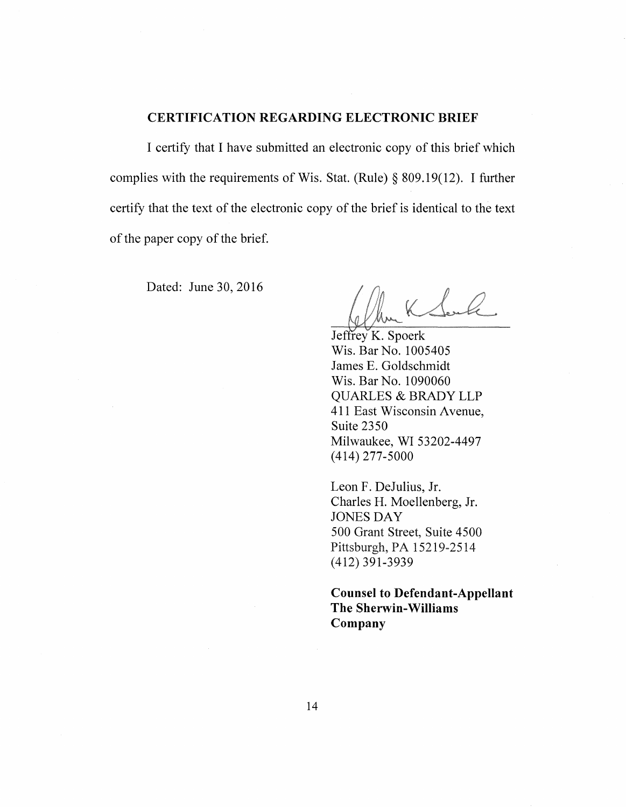#### **CERTIFICATION REGARDING ELECTRONIC BRIEF**

I certify that I have submitted an electronic copy of this brief which complies with the requirements of Wis. Stat. (Rule)§ 809.19(12). I further certify that the text of the electronic copy of the brief is identical to the text of the paper copy of the brief.

Dated: June 30, 2016

Jeffrey K. Spoerk Wis. Bar No. 1005405 James E. Goldschmidt Wis. Bar No. 1090060 QUARLES & BRADY LLP 411 East Wisconsin Avenue, Suite 2350 Milwaukee, WI 53202-4497 (414) 277-5000

Leon F. DeJulius, Jr. Charles H. Moellenberg, Jr. JONES DAY 500 Grant Street, Suite 4500 Pittsburgh, PA 15219-2514 (412) 391-3939